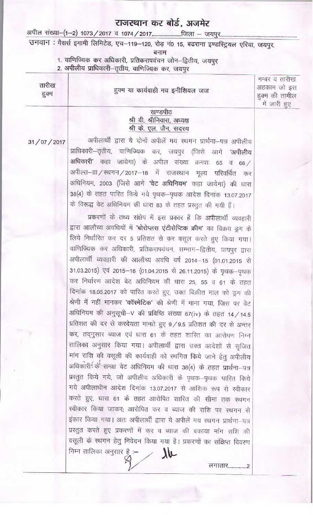## राजस्थान कर बोर्ड, अजमेर

उनवान : मैसर्स इमामी लिमिटेड, एच-119-120, रोड़ नं0 15, बढराना इण्डस्ट्रियल एरिया, जयपुर.

बनाम

1. वाणिज्यिक कर अधिकारी, प्रतिकरापवंचन जोन-द्वितीय, जयपुर

2. अपीलीय प्राधिकारी-तृतीय, वाणिज्यिक कर, जयपुर

| तारीख<br>हुक्म | हुक्म या कार्यवाही मय इनीशियल जज                                                                                                                                                                                                                                                                                                                                                                                                                                                                                                                                                                                                                                                                                                                                                                                                                                                                                                                                   | नम्बर व तारीख<br>अहकाम जो इस<br>हुक्म की तामील<br>में जारी हुए |
|----------------|--------------------------------------------------------------------------------------------------------------------------------------------------------------------------------------------------------------------------------------------------------------------------------------------------------------------------------------------------------------------------------------------------------------------------------------------------------------------------------------------------------------------------------------------------------------------------------------------------------------------------------------------------------------------------------------------------------------------------------------------------------------------------------------------------------------------------------------------------------------------------------------------------------------------------------------------------------------------|----------------------------------------------------------------|
|                | खण्डपीठ<br>श्री वी. श्रीनिवास, अध्यक्ष<br>श्री के. एल. जैन, सदस्य                                                                                                                                                                                                                                                                                                                                                                                                                                                                                                                                                                                                                                                                                                                                                                                                                                                                                                  |                                                                |
| 31/07/2017     | अपीलार्थी द्वारा ये दोनों अपीलें मय स्थगन प्रार्थना-पत्र अपीलीय<br>प्राधिकारी-तृतीय, वाणिज्यिक कर, जयपुर (जिसे आगे 'अपीलीय<br>अधिकारी' कहा जायेगा) के अपील संख्या क्रमशः 65 व 66/<br>अपील्स–ाा/ स्थगन/2017–18 में राजस्थान मूल्य परिवर्धित कर<br>अधिनियम, 2003 (जिसे आगे 'वेट अधिनियम' कहा जायेगा) की धारा                                                                                                                                                                                                                                                                                                                                                                                                                                                                                                                                                                                                                                                         |                                                                |
|                | 38(4) के तहत पारित किये गये पृथक–पृथक आदेश दिनांक 13.07.2017<br>के विरूद्ध वेट अधिनियम की धारा 83 के तहत प्रस्तुत की गयी हैं।                                                                                                                                                                                                                                                                                                                                                                                                                                                                                                                                                                                                                                                                                                                                                                                                                                      |                                                                |
| ð              | प्रकरणों के तथ्य संक्षेप में इस प्रकार हैं कि अपीलार्थी व्यवहारी<br>द्वारा आलौच्य अवधियों में 'बोरोप्लस एंटीसेप्टिक क्रीम' का विक्रय डूग के<br>लिये निर्धारित कर दर 5 प्रतिशत से कर वसूल करते हुए किया गया।<br>वाणिज्यिक कर अधिकारी, प्रतिकरापवंचन, सम्भाग—द्वितीय, जयपुर द्वारा<br>अपीलार्थी व्यवहारी की आलौच्य अवधि वर्ष 2014-15 (01.01.2015 से<br>31.03.2015) एवं 2015–16 (01.04.2015 से 26.11.2015) के पृथक–पृथक<br>कर निर्धारण आदेश वेट अधिनियम की धारा 25, 55 व 61 के तहत<br>दिनांक 18.05.2017 को पारित करते हुए, उक्त बिक्रीत माल को ड्रग की<br>श्रेणी में नहीं मानकर 'कॉस्मेटिक' की श्रेणी में माना गया, जिस पर वेट<br>अधिनियम की अनुसूची-V की प्रविष्ठि संख्या 67(iv) के तहत 14/14.5<br>प्रतिशत की दर से करदेयता मानते हुए 9/9.5 प्रतिशत की दर से अन्तर<br>कर, तद्गुसार ब्याज एवं धारा 61 के तहत शारित का आरोपण निम्न<br>तालिका अनुसार किया गया। अपीलार्थी द्वारा उक्त आदेशों से सृजित<br>मांग राशि की वसूली की कार्यवाही को स्थगित किये जाने हेतु अपीलीय |                                                                |
|                | अधिकारी <sup>?</sup> के समक्ष वेट अधिनियम की धारा 38(4) के तहत प्रार्थना-पत्र<br>प्रस्तुत किये गये, जो अपीलीय अधिकारी के पृथक-पृथक पारित किये<br>गये अपीलाधीन आदेश दिनांक 13.07.2017 से आंशिक रूप से स्वीकार<br>करते हुए, धारा 61 के तहत आरोपित शारित की सीमा तक स्थगन<br>स्वीकार किया जाकर; आरोपित कर व ब्याज की राशि पर स्थगन से<br>इंकार किया गया। अतः अपीलार्थी द्वारा ये अपीलें मय स्थगन प्रार्थना-पत्र<br>प्रस्तुत करते हुए प्रकरणों में कर व ब्याज की बकाया मांग राशि की<br>वसूली के स्थगन हेतु निवेदन किया गया है। प्रकरणों का संक्षिप्त विवरण<br>निम्न तालिका अनुसार है $\sim$ /                                                                                                                                                                                                                                                                                                                                                                          |                                                                |